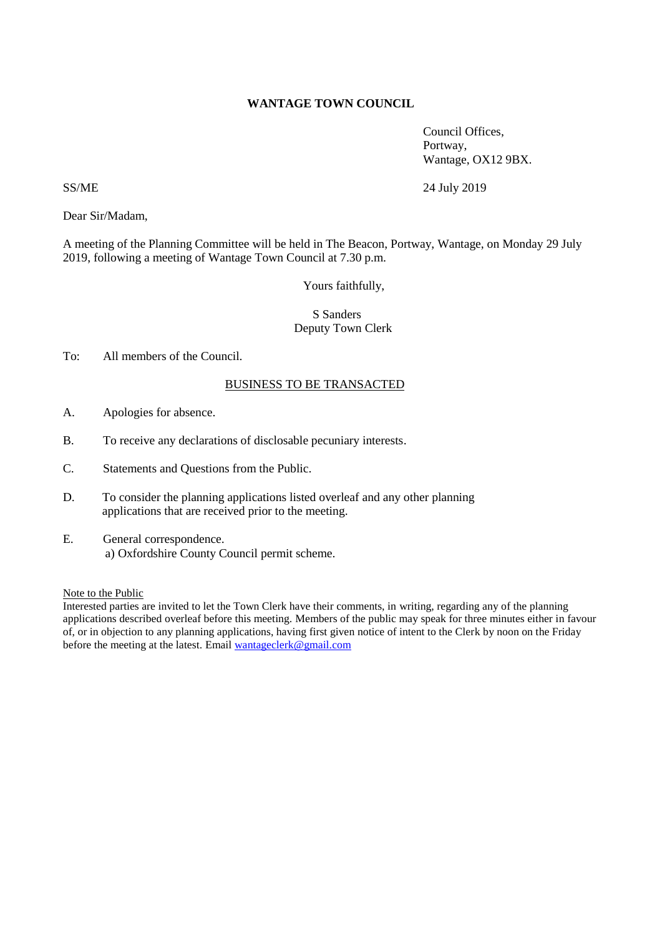# **WANTAGE TOWN COUNCIL**

Council Offices, Portway, Wantage, OX12 9BX.

SS/ME 24 July 2019

Dear Sir/Madam,

A meeting of the Planning Committee will be held in The Beacon, Portway, Wantage, on Monday 29 July 2019, following a meeting of Wantage Town Council at 7.30 p.m.

Yours faithfully,

# S Sanders Deputy Town Clerk

# To: All members of the Council.

# BUSINESS TO BE TRANSACTED

- A. Apologies for absence.
- B. To receive any declarations of disclosable pecuniary interests.
- C. Statements and Questions from the Public.
- D. To consider the planning applications listed overleaf and any other planning applications that are received prior to the meeting.
- E. General correspondence. a) Oxfordshire County Council permit scheme.

Note to the Public

Interested parties are invited to let the Town Clerk have their comments, in writing, regarding any of the planning applications described overleaf before this meeting. Members of the public may speak for three minutes either in favour of, or in objection to any planning applications, having first given notice of intent to the Clerk by noon on the Friday before the meeting at the latest. Email wantageclerk@gmail.com